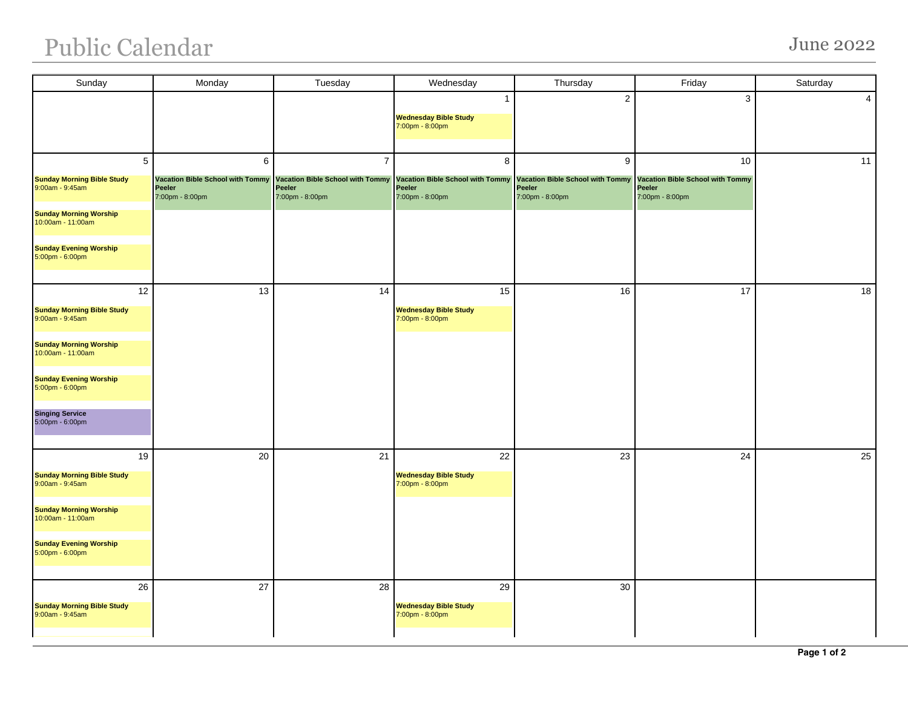## Public Calendar June 2022

| Sunday                                                                                                   | Monday                                                                    | Tuesday                                                                                | Wednesday                                                                 | Thursday                                                                  | Friday                                                                     | Saturday |
|----------------------------------------------------------------------------------------------------------|---------------------------------------------------------------------------|----------------------------------------------------------------------------------------|---------------------------------------------------------------------------|---------------------------------------------------------------------------|----------------------------------------------------------------------------|----------|
|                                                                                                          |                                                                           |                                                                                        | 1<br><b>Wednesday Bible Study</b><br>7:00pm - 8:00pm                      | $\sqrt{2}$                                                                | 3                                                                          | 4        |
| 5<br>Sunday Morning Bible Study<br>9:00am - 9:45am<br><b>Sunday Morning Worship</b><br>10:00am - 11:00am | 6<br><b>Vacation Bible School with Tommy</b><br>Peeler<br>7:00pm - 8:00pm | $\overline{7}$<br><b>Vacation Bible School with Tommy</b><br>Peeler<br>7:00pm - 8:00pm | 8<br><b>Vacation Bible School with Tommy</b><br>Peeler<br>7:00pm - 8:00pm | 9<br><b>Vacation Bible School with Tommy</b><br>Peeler<br>7:00pm - 8:00pm | 10<br>Vacation Bible School with Tommy<br><b>Peeler</b><br>7:00pm - 8:00pm | 11       |
| <b>Sunday Evening Worship</b><br>5:00pm - 6:00pm                                                         |                                                                           |                                                                                        |                                                                           |                                                                           |                                                                            |          |
| 12<br><b>Sunday Morning Bible Study</b><br>9:00am - 9:45am                                               | 13                                                                        | 14                                                                                     | 15<br><b>Wednesday Bible Study</b><br>7:00pm - 8:00pm                     | 16                                                                        | 17                                                                         | 18       |
| <b>Sunday Morning Worship</b><br>10:00am - 11:00am                                                       |                                                                           |                                                                                        |                                                                           |                                                                           |                                                                            |          |
| <b>Sunday Evening Worship</b><br>5:00pm - 6:00pm<br><b>Singing Service</b>                               |                                                                           |                                                                                        |                                                                           | 23                                                                        | 24                                                                         |          |
| 5:00pm - 6:00pm<br>19                                                                                    |                                                                           |                                                                                        |                                                                           |                                                                           |                                                                            |          |
| <b>Sunday Morning Bible Study</b><br>9:00am - 9:45am                                                     | $20\,$                                                                    | 21                                                                                     | 22<br><b>Wednesday Bible Study</b><br>7:00pm - 8:00pm                     |                                                                           |                                                                            | 25       |
| <b>Sunday Morning Worship</b><br>10:00am - 11:00am                                                       |                                                                           |                                                                                        |                                                                           |                                                                           |                                                                            |          |
| <b>Sunday Evening Worship</b><br>5:00pm - 6:00pm                                                         |                                                                           |                                                                                        |                                                                           |                                                                           |                                                                            |          |
| 26<br><b>Sunday Morning Bible Study</b><br>9:00am - 9:45am                                               | 27                                                                        | 28                                                                                     | 29<br><b>Wednesday Bible Study</b><br>7:00pm - 8:00pm                     | 30                                                                        |                                                                            |          |